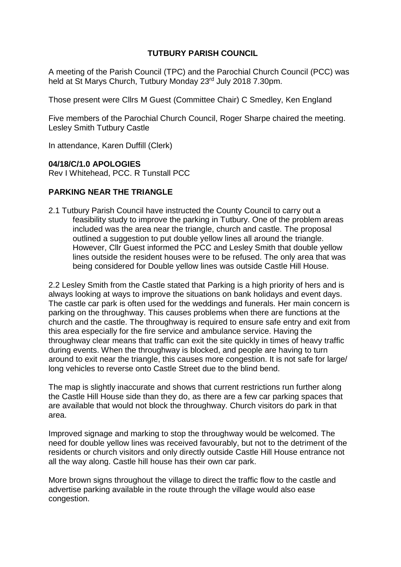# **TUTBURY PARISH COUNCIL**

A meeting of the Parish Council (TPC) and the Parochial Church Council (PCC) was held at St Marys Church, Tutbury Monday 23rd July 2018 7.30pm.

Those present were Cllrs M Guest (Committee Chair) C Smedley, Ken England

Five members of the Parochial Church Council, Roger Sharpe chaired the meeting. Lesley Smith Tutbury Castle

In attendance, Karen Duffill (Clerk)

#### **04/18/C/1.0 APOLOGIES**

Rev I Whitehead, PCC. R Tunstall PCC

#### **PARKING NEAR THE TRIANGLE**

2.1 Tutbury Parish Council have instructed the County Council to carry out a feasibility study to improve the parking in Tutbury. One of the problem areas included was the area near the triangle, church and castle. The proposal outlined a suggestion to put double yellow lines all around the triangle. However, Cllr Guest informed the PCC and Lesley Smith that double yellow lines outside the resident houses were to be refused. The only area that was being considered for Double yellow lines was outside Castle Hill House.

2.2 Lesley Smith from the Castle stated that Parking is a high priority of hers and is always looking at ways to improve the situations on bank holidays and event days. The castle car park is often used for the weddings and funerals. Her main concern is parking on the throughway. This causes problems when there are functions at the church and the castle. The throughway is required to ensure safe entry and exit from this area especially for the fire service and ambulance service. Having the throughway clear means that traffic can exit the site quickly in times of heavy traffic during events. When the throughway is blocked, and people are having to turn around to exit near the triangle, this causes more congestion. It is not safe for large/ long vehicles to reverse onto Castle Street due to the blind bend.

The map is slightly inaccurate and shows that current restrictions run further along the Castle Hill House side than they do, as there are a few car parking spaces that are available that would not block the throughway. Church visitors do park in that area.

Improved signage and marking to stop the throughway would be welcomed. The need for double yellow lines was received favourably, but not to the detriment of the residents or church visitors and only directly outside Castle Hill House entrance not all the way along. Castle hill house has their own car park.

More brown signs throughout the village to direct the traffic flow to the castle and advertise parking available in the route through the village would also ease congestion.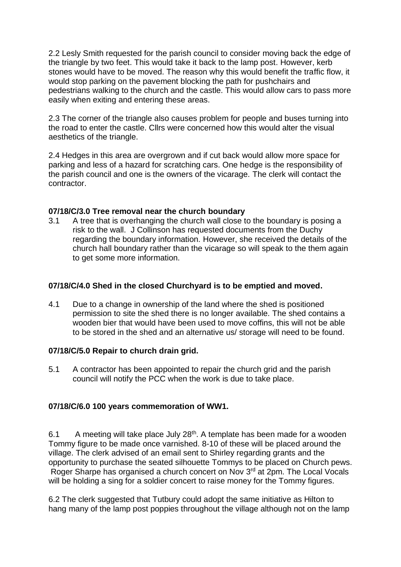2.2 Lesly Smith requested for the parish council to consider moving back the edge of the triangle by two feet. This would take it back to the lamp post. However, kerb stones would have to be moved. The reason why this would benefit the traffic flow, it would stop parking on the pavement blocking the path for pushchairs and pedestrians walking to the church and the castle. This would allow cars to pass more easily when exiting and entering these areas.

2.3 The corner of the triangle also causes problem for people and buses turning into the road to enter the castle. Cllrs were concerned how this would alter the visual aesthetics of the triangle.

2.4 Hedges in this area are overgrown and if cut back would allow more space for parking and less of a hazard for scratching cars. One hedge is the responsibility of the parish council and one is the owners of the vicarage. The clerk will contact the contractor.

# **07/18/C/3.0 Tree removal near the church boundary**

3.1 A tree that is overhanging the church wall close to the boundary is posing a risk to the wall. J Collinson has requested documents from the Duchy regarding the boundary information. However, she received the details of the church hall boundary rather than the vicarage so will speak to the them again to get some more information.

# **07/18/C/4.0 Shed in the closed Churchyard is to be emptied and moved.**

4.1 Due to a change in ownership of the land where the shed is positioned permission to site the shed there is no longer available. The shed contains a wooden bier that would have been used to move coffins, this will not be able to be stored in the shed and an alternative us/ storage will need to be found.

### **07/18/C/5.0 Repair to church drain grid.**

5.1 A contractor has been appointed to repair the church grid and the parish council will notify the PCC when the work is due to take place.

# **07/18/C/6.0 100 years commemoration of WW1.**

6.1 A meeting will take place July  $28<sup>th</sup>$ . A template has been made for a wooden Tommy figure to be made once varnished. 8-10 of these will be placed around the village. The clerk advised of an email sent to Shirley regarding grants and the opportunity to purchase the seated silhouette Tommys to be placed on Church pews. Roger Sharpe has organised a church concert on Nov 3rd at 2pm. The Local Vocals will be holding a sing for a soldier concert to raise money for the Tommy figures.

6.2 The clerk suggested that Tutbury could adopt the same initiative as Hilton to hang many of the lamp post poppies throughout the village although not on the lamp